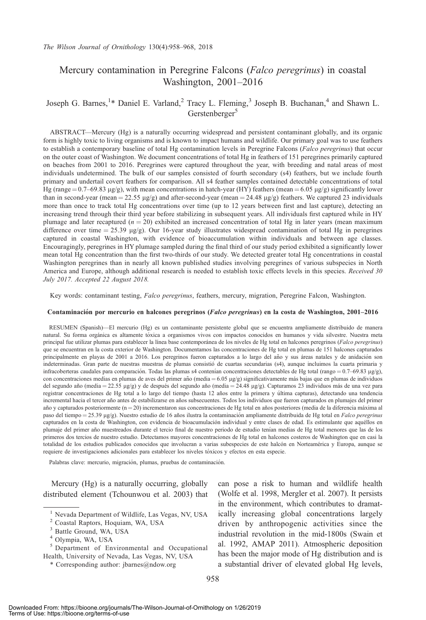# Mercury contamination in Peregrine Falcons (Falco peregrinus) in coastal Washington, 2001–2016

## Joseph G. Barnes,<sup>1</sup>\* Daniel E. Varland,<sup>2</sup> Tracy L. Fleming,<sup>3</sup> Joseph B. Buchanan,<sup>4</sup> and Shawn L. Gerstenberger<sup>5</sup>

ABSTRACT—Mercury (Hg) is a naturally occurring widespread and persistent contaminant globally, and its organic form is highly toxic to living organisms and is known to impact humans and wildlife. Our primary goal was to use feathers to establish a contemporary baseline of total Hg contamination levels in Peregrine Falcons (Falco peregrinus) that occur on the outer coast of Washington. We document concentrations of total Hg in feathers of 151 peregrines primarily captured on beaches from 2001 to 2016. Peregrines were captured throughout the year, with breeding and natal areas of most individuals undetermined. The bulk of our samples consisted of fourth secondary (s4) feathers, but we include fourth primary and undertail covert feathers for comparison. All s4 feather samples contained detectable concentrations of total Hg (range =  $0.7-69.83 \mu g/g$ ), with mean concentrations in hatch-year (HY) feathers (mean =  $6.05 \mu g/g$ ) significantly lower than in second-year (mean = 22.55  $\mu$ g/g) and after-second-year (mean = 24.48  $\mu$ g/g) feathers. We captured 23 individuals more than once to track total Hg concentrations over time (up to 12 years between first and last capture), detecting an increasing trend through their third year before stabilizing in subsequent years. All individuals first captured while in HY plumage and later recaptured ( $n = 20$ ) exhibited an increased concentration of total Hg in later years (mean maximum difference over time  $= 25.39 \text{ µg/g}$ ). Our 16-year study illustrates widespread contamination of total Hg in peregrines captured in coastal Washington, with evidence of bioaccumulation within individuals and between age classes. Encouragingly, peregrines in HY plumage sampled during the final third of our study period exhibited a significantly lower mean total Hg concentration than the first two-thirds of our study. We detected greater total Hg concentrations in coastal Washington peregrines than in nearly all known published studies involving peregrines of various subspecies in North America and Europe, although additional research is needed to establish toxic effects levels in this species. Received 30 July 2017. Accepted 22 August 2018.

Key words: contaminant testing, Falco peregrinus, feathers, mercury, migration, Peregrine Falcon, Washington.

#### Contaminación por mercurio en halcones peregrinos (Falco peregrinus) en la costa de Washington, 2001-2016

RESUMEN (Spanish)—El mercurio (Hg) es un contaminante persistente global que se encuentra ampliamente distribuido de manera natural. Su forma orgánica es altamente tóxica a organismos vivos con impactos conocidos en humanos y vida silvestre. Nuestra meta principal fue utilizar plumas para establecer la línea base contemporánea de los niveles de Hg total en halcones peregrinos (Falco peregrinus) que se encuentran en la costa exterior de Washington. Documentamos las concentraciones de Hg total en plumas de 151 halcones capturados principalmente en playas de 2001 a 2016. Los peregrinos fueron capturados a lo largo del año y sus áreas natales y de anidación son indeterminadas. Gran parte de nuestras muestras de plumas consistio de cuartas secundarias (s4), aunque incluimos la cuarta primaria y ´ infracoberteras caudales para comparación. Todas las plumas s4 contenían concentraciones detectables de Hg total (rango =  $0.7-69.83 \mu g/g$ ), con concentraciones medias en plumas de aves del primer año (media =  $6.05 \mu g/g$ ) significativamente más bajas que en plumas de individuos del segundo año (media = 22.55 µg/g) y de después del segundo año (media = 24.48 µg/g). Capturamos 23 individuos más de una vez para registrar concentraciones de Hg total a lo largo del tiempo (hasta 12 años entre la primera y última capturas), detectando una tendencia incremental hacia el tercer año antes de estabilizarse en años subsecuentes. Todos los individuos que fueron capturados en plumajes del primer año y capturados posteriormente (n=20) incrementaron sus concentraciones de Hg total en años posteriores (media de la diferencia máxima al paso del tiempo = 25.39 µg/g). Nuestro estudio de 16 años ilustra la contaminación ampliamente distribuida de Hg total en Falco peregrinus capturados en la costa de Washington, con evidencia de bioacumulación individual y entre clases de edad. Es estimulante que aquéllos en plumaje del primer año muestreados durante el tercio final de nuestro periodo de estudio tenían medias de Hg total menores que las de los primeros dos tercios de nuestro estudio. Detectamos mayores concentraciones de Hg total en halcones costeros de Washington que en casi la totalidad de los estudios publicados conocidos que involucran a varias subespecies de este halcón en Norteamérica y Europa, aunque se requiere de investigaciones adicionales para establecer los niveles toxicos y efectos en esta especie. ´

Palabras clave: mercurio, migración, plumas, pruebas de contaminación.

Mercury (Hg) is a naturally occurring, globally distributed element (Tchounwou et al. 2003) that can pose a risk to human and wildlife health (Wolfe et al. 1998, Mergler et al. 2007). It persists in the environment, which contributes to dramatically increasing global concentrations largely driven by anthropogenic activities since the industrial revolution in the mid-1800s (Swain et al. 1992, AMAP 2011). Atmospheric deposition has been the major mode of Hg distribution and is a substantial driver of elevated global Hg levels,

<sup>&</sup>lt;sup>1</sup> Nevada Department of Wildlife, Las Vegas, NV, USA

<sup>2</sup> Coastal Raptors, Hoquiam, WA, USA

<sup>&</sup>lt;sup>3</sup> Battle Ground, WA, USA

<sup>4</sup> Olympia, WA, USA

<sup>5</sup> Department of Environmental and Occupational Health, University of Nevada, Las Vegas, NV, USA

<sup>\*</sup> Corresponding author: jbarnes@ndow.org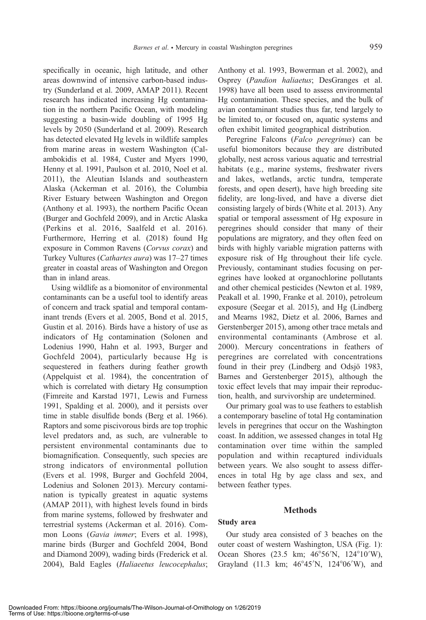specifically in oceanic, high latitude, and other areas downwind of intensive carbon-based industry (Sunderland et al. 2009, AMAP 2011). Recent research has indicated increasing Hg contamination in the northern Pacific Ocean, with modeling suggesting a basin-wide doubling of 1995 Hg levels by 2050 (Sunderland et al. 2009). Research has detected elevated Hg levels in wildlife samples from marine areas in western Washington (Calambokidis et al. 1984, Custer and Myers 1990, Henny et al. 1991, Paulson et al. 2010, Noel et al. 2011), the Aleutian Islands and southeastern Alaska (Ackerman et al. 2016), the Columbia River Estuary between Washington and Oregon (Anthony et al. 1993), the northern Pacific Ocean (Burger and Gochfeld 2009), and in Arctic Alaska (Perkins et al. 2016, Saalfeld et al. 2016). Furthermore, Herring et al. (2018) found Hg exposure in Common Ravens (Corvus corax) and Turkey Vultures (Cathartes aura) was 17–27 times greater in coastal areas of Washington and Oregon than in inland areas.

Using wildlife as a biomonitor of environmental contaminants can be a useful tool to identify areas of concern and track spatial and temporal contaminant trends (Evers et al. 2005, Bond et al. 2015, Gustin et al. 2016). Birds have a history of use as indicators of Hg contamination (Solonen and Lodenius 1990, Hahn et al. 1993, Burger and Gochfeld 2004), particularly because Hg is sequestered in feathers during feather growth (Appelquist et al. 1984), the concentration of which is correlated with dietary Hg consumption (Fimreite and Karstad 1971, Lewis and Furness 1991, Spalding et al. 2000), and it persists over time in stable disulfide bonds (Berg et al. 1966). Raptors and some piscivorous birds are top trophic level predators and, as such, are vulnerable to persistent environmental contaminants due to biomagnification. Consequently, such species are strong indicators of environmental pollution (Evers et al. 1998, Burger and Gochfeld 2004, Lodenius and Solonen 2013). Mercury contamination is typically greatest in aquatic systems (AMAP 2011), with highest levels found in birds from marine systems, followed by freshwater and terrestrial systems (Ackerman et al. 2016). Common Loons (Gavia immer; Evers et al. 1998), marine birds (Burger and Gochfeld 2004, Bond and Diamond 2009), wading birds (Frederick et al. 2004), Bald Eagles (Haliaeetus leucocephalus;

Anthony et al. 1993, Bowerman et al. 2002), and Osprey (Pandion haliaetus; DesGranges et al. 1998) have all been used to assess environmental Hg contamination. These species, and the bulk of avian contaminant studies thus far, tend largely to be limited to, or focused on, aquatic systems and often exhibit limited geographical distribution.

Peregrine Falcons (Falco peregrinus) can be useful biomonitors because they are distributed globally, nest across various aquatic and terrestrial habitats (e.g., marine systems, freshwater rivers and lakes, wetlands, arctic tundra, temperate forests, and open desert), have high breeding site fidelity, are long-lived, and have a diverse diet consisting largely of birds (White et al. 2013). Any spatial or temporal assessment of Hg exposure in peregrines should consider that many of their populations are migratory, and they often feed on birds with highly variable migration patterns with exposure risk of Hg throughout their life cycle. Previously, contaminant studies focusing on peregrines have looked at organochlorine pollutants and other chemical pesticides (Newton et al. 1989, Peakall et al. 1990, Franke et al. 2010), petroleum exposure (Seegar et al. 2015), and Hg (Lindberg and Mearns 1982, Dietz et al. 2006, Barnes and Gerstenberger 2015), among other trace metals and environmental contaminants (Ambrose et al. 2000). Mercury concentrations in feathers of peregrines are correlated with concentrations found in their prey (Lindberg and Odsjö 1983, Barnes and Gerstenberger 2015), although the toxic effect levels that may impair their reproduction, health, and survivorship are undetermined.

Our primary goal was to use feathers to establish a contemporary baseline of total Hg contamination levels in peregrines that occur on the Washington coast. In addition, we assessed changes in total Hg contamination over time within the sampled population and within recaptured individuals between years. We also sought to assess differences in total Hg by age class and sex, and between feather types.

#### **Methods**

## Study area

Our study area consisted of 3 beaches on the outer coast of western Washington, USA (Fig. 1): Ocean Shores (23.5 km;  $46^{\circ}56'$ N,  $124^{\circ}10'$ W), Grayland (11.3 km; 46°45'N, 124°06'W), and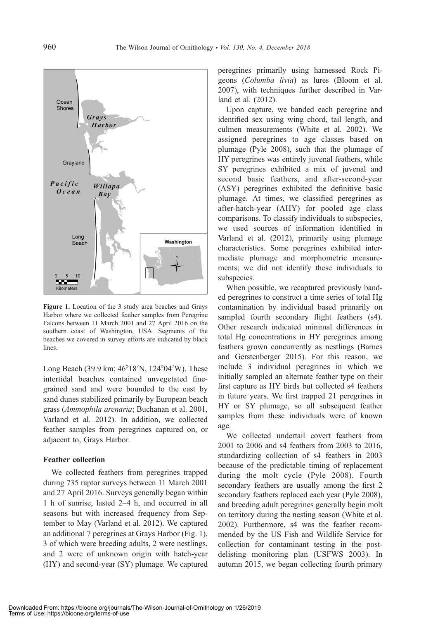

Figure 1. Location of the 3 study area beaches and Grays Harbor where we collected feather samples from Peregrine Falcons between 11 March 2001 and 27 April 2016 on the southern coast of Washington, USA. Segments of the beaches we covered in survey efforts are indicated by black lines.

Long Beach (39.9 km; 46°18′N, 124°04′W). These intertidal beaches contained unvegetated finegrained sand and were bounded to the east by sand dunes stabilized primarily by European beach grass (Ammophila arenaria; Buchanan et al. 2001, Varland et al. 2012). In addition, we collected feather samples from peregrines captured on, or adjacent to, Grays Harbor.

## Feather collection

We collected feathers from peregrines trapped during 735 raptor surveys between 11 March 2001 and 27 April 2016. Surveys generally began within 1 h of sunrise, lasted 2–4 h, and occurred in all seasons but with increased frequency from September to May (Varland et al. 2012). We captured an additional 7 peregrines at Grays Harbor (Fig. 1), 3 of which were breeding adults, 2 were nestlings, and 2 were of unknown origin with hatch-year (HY) and second-year (SY) plumage. We captured peregrines primarily using harnessed Rock Pigeons (Columba livia) as lures (Bloom et al. 2007), with techniques further described in Varland et al. (2012).

Upon capture, we banded each peregrine and identified sex using wing chord, tail length, and culmen measurements (White et al. 2002). We assigned peregrines to age classes based on plumage (Pyle 2008), such that the plumage of HY peregrines was entirely juvenal feathers, while SY peregrines exhibited a mix of juvenal and second basic feathers, and after-second-year (ASY) peregrines exhibited the definitive basic plumage. At times, we classified peregrines as after-hatch-year (AHY) for pooled age class comparisons. To classify individuals to subspecies, we used sources of information identified in Varland et al. (2012), primarily using plumage characteristics. Some peregrines exhibited intermediate plumage and morphometric measurements; we did not identify these individuals to subspecies.

When possible, we recaptured previously banded peregrines to construct a time series of total Hg contamination by individual based primarily on sampled fourth secondary flight feathers (s4). Other research indicated minimal differences in total Hg concentrations in HY peregrines among feathers grown concurrently as nestlings (Barnes and Gerstenberger 2015). For this reason, we include 3 individual peregrines in which we initially sampled an alternate feather type on their first capture as HY birds but collected s4 feathers in future years. We first trapped 21 peregrines in HY or SY plumage, so all subsequent feather samples from these individuals were of known age.

We collected undertail covert feathers from 2001 to 2006 and s4 feathers from 2003 to 2016, standardizing collection of s4 feathers in 2003 because of the predictable timing of replacement during the molt cycle (Pyle 2008). Fourth secondary feathers are usually among the first 2 secondary feathers replaced each year (Pyle 2008), and breeding adult peregrines generally begin molt on territory during the nesting season (White et al. 2002). Furthermore, s4 was the feather recommended by the US Fish and Wildlife Service for collection for contaminant testing in the postdelisting monitoring plan (USFWS 2003). In autumn 2015, we began collecting fourth primary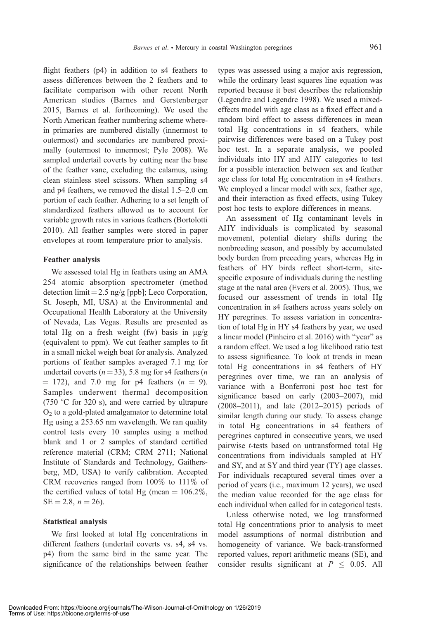flight feathers (p4) in addition to s4 feathers to assess differences between the 2 feathers and to facilitate comparison with other recent North American studies (Barnes and Gerstenberger 2015, Barnes et al. forthcoming). We used the North American feather numbering scheme wherein primaries are numbered distally (innermost to outermost) and secondaries are numbered proximally (outermost to innermost; Pyle 2008). We sampled undertail coverts by cutting near the base of the feather vane, excluding the calamus, using clean stainless steel scissors. When sampling s4 and p4 feathers, we removed the distal 1.5–2.0 cm portion of each feather. Adhering to a set length of standardized feathers allowed us to account for variable growth rates in various feathers (Bortolotti 2010). All feather samples were stored in paper envelopes at room temperature prior to analysis.

## Feather analysis

We assessed total Hg in feathers using an AMA 254 atomic absorption spectrometer (method detection limit =  $2.5$  ng/g [ppb]; Leco Corporation, St. Joseph, MI, USA) at the Environmental and Occupational Health Laboratory at the University of Nevada, Las Vegas. Results are presented as total Hg on a fresh weight (fw) basis in  $\mu$ g/g (equivalent to ppm). We cut feather samples to fit in a small nickel weigh boat for analysis. Analyzed portions of feather samples averaged 7.1 mg for undertail coverts ( $n=33$ ), 5.8 mg for s4 feathers ( $n$  $=$  172), and 7.0 mg for p4 feathers  $(n = 9)$ . Samples underwent thermal decomposition (750 °C for 320 s), and were carried by ultrapure  $O<sub>2</sub>$  to a gold-plated amalgamator to determine total Hg using a 253.65 nm wavelength. We ran quality control tests every 10 samples using a method blank and 1 or 2 samples of standard certified reference material (CRM; CRM 2711; National Institute of Standards and Technology, Gaithersberg, MD, USA) to verify calibration. Accepted CRM recoveries ranged from 100% to 111% of the certified values of total Hg (mean  $= 106.2\%$ ,  $SE = 2.8$ ,  $n = 26$ ).

#### Statistical analysis

We first looked at total Hg concentrations in different feathers (undertail coverts vs. s4, s4 vs. p4) from the same bird in the same year. The significance of the relationships between feather

types was assessed using a major axis regression, while the ordinary least squares line equation was reported because it best describes the relationship (Legendre and Legendre 1998). We used a mixedeffects model with age class as a fixed effect and a random bird effect to assess differences in mean total Hg concentrations in s4 feathers, while pairwise differences were based on a Tukey post hoc test. In a separate analysis, we pooled individuals into HY and AHY categories to test for a possible interaction between sex and feather age class for total Hg concentration in s4 feathers. We employed a linear model with sex, feather age, and their interaction as fixed effects, using Tukey post hoc tests to explore differences in means.

An assessment of Hg contaminant levels in AHY individuals is complicated by seasonal movement, potential dietary shifts during the nonbreeding season, and possibly by accumulated body burden from preceding years, whereas Hg in feathers of HY birds reflect short-term, sitespecific exposure of individuals during the nestling stage at the natal area (Evers et al. 2005). Thus, we focused our assessment of trends in total Hg concentration in s4 feathers across years solely on HY peregrines. To assess variation in concentration of total Hg in HY s4 feathers by year, we used a linear model (Pinheiro et al. 2016) with ''year'' as a random effect. We used a log likelihood ratio test to assess significance. To look at trends in mean total Hg concentrations in s4 feathers of HY peregrines over time, we ran an analysis of variance with a Bonferroni post hoc test for significance based on early (2003–2007), mid (2008–2011), and late (2012–2015) periods of similar length during our study. To assess change in total Hg concentrations in s4 feathers of peregrines captured in consecutive years, we used pairwise t-tests based on untransformed total Hg concentrations from individuals sampled at HY and SY, and at SY and third year (TY) age classes. For individuals recaptured several times over a period of years (i.e., maximum 12 years), we used the median value recorded for the age class for each individual when called for in categorical tests.

Unless otherwise noted, we log transformed total Hg concentrations prior to analysis to meet model assumptions of normal distribution and homogeneity of variance. We back-transformed reported values, report arithmetic means (SE), and consider results significant at  $P \leq 0.05$ . All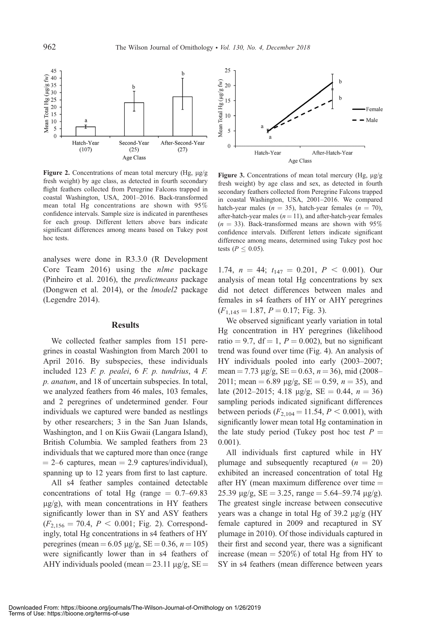

Figure 2. Concentrations of mean total mercury (Hg,  $\mu$ g/g fresh weight) by age class, as detected in fourth secondary flight feathers collected from Peregrine Falcons trapped in coastal Washington, USA, 2001–2016. Back-transformed mean total Hg concentrations are shown with 95% confidence intervals. Sample size is indicated in parentheses for each group. Different letters above bars indicate significant differences among means based on Tukey post hoc tests.

analyses were done in R3.3.0 (R Development Core Team 2016) using the nlme package (Pinheiro et al. 2016), the predictmeans package (Dongwen et al. 2014), or the lmodel2 package (Legendre 2014).

#### **Results**

We collected feather samples from 151 peregrines in coastal Washington from March 2001 to April 2016. By subspecies, these individuals included 123 F. p. pealei, 6 F. p. tundrius, 4 F. p. anatum, and 18 of uncertain subspecies. In total, we analyzed feathers from 46 males, 103 females, and 2 peregrines of undetermined gender. Four individuals we captured were banded as nestlings by other researchers; 3 in the San Juan Islands, Washington, and 1 on Kiis Gwaii (Langara Island), British Columbia. We sampled feathers from 23 individuals that we captured more than once (range  $= 2-6$  captures, mean  $= 2.9$  captures/individual), spanning up to 12 years from first to last capture.

All s4 feather samples contained detectable concentrations of total Hg (range  $= 0.7{\text -}69.83$  $\mu$ g/g), with mean concentrations in HY feathers significantly lower than in SY and ASY feathers  $(F_{2,156} = 70.4, P < 0.001;$  Fig. 2). Correspondingly, total Hg concentrations in s4 feathers of HY peregrines (mean = 6.05  $\mu$ g/g, SE = 0.36, n = 105) were significantly lower than in s4 feathers of AHY individuals pooled (mean =  $23.11 \mu$ g/g, SE =



Figure 3. Concentrations of mean total mercury (Hg,  $\mu$ g/g fresh weight) by age class and sex, as detected in fourth secondary feathers collected from Peregrine Falcons trapped in coastal Washington, USA, 2001–2016. We compared hatch-year males ( $n = 35$ ), hatch-year females ( $n = 70$ ), after-hatch-year males ( $n = 11$ ), and after-hatch-year females  $(n = 33)$ . Back-transformed means are shown with 95% confidence intervals. Different letters indicate significant difference among means, determined using Tukey post hoc tests ( $P \leq 0.05$ ).

1.74,  $n = 44$ ;  $t_{147} = 0.201$ ,  $P < 0.001$ ). Our analysis of mean total Hg concentrations by sex did not detect differences between males and females in s4 feathers of HY or AHY peregrines  $(F_{1,145} = 1.87, P = 0.17; Fig. 3).$ 

We observed significant yearly variation in total Hg concentration in HY peregrines (likelihood ratio = 9.7, df = 1,  $P = 0.002$ ), but no significant trend was found over time (Fig. 4). An analysis of HY individuals pooled into early (2003–2007; mean = 7.73  $\mu$ g/g, SE = 0.63, n = 36), mid (2008– 2011; mean = 6.89  $\mu$ g/g, SE = 0.59, n = 35), and late (2012–2015; 4.18  $\mu$ g/g, SE = 0.44, n = 36) sampling periods indicated significant differences between periods  $(F_{2,104} = 11.54, P \le 0.001)$ , with significantly lower mean total Hg contamination in the late study period (Tukey post hoc test  $P =$ 0.001).

All individuals first captured while in HY plumage and subsequently recaptured  $(n = 20)$ exhibited an increased concentration of total Hg after HY (mean maximum difference over time  $=$ 25.39  $\mu$ g/g, SE = 3.25, range = 5.64–59.74  $\mu$ g/g). The greatest single increase between consecutive years was a change in total Hg of  $39.2 \mu g/g$  (HY female captured in 2009 and recaptured in SY plumage in 2010). Of those individuals captured in their first and second year, there was a significant increase (mean  $= 520\%$ ) of total Hg from HY to SY in s4 feathers (mean difference between years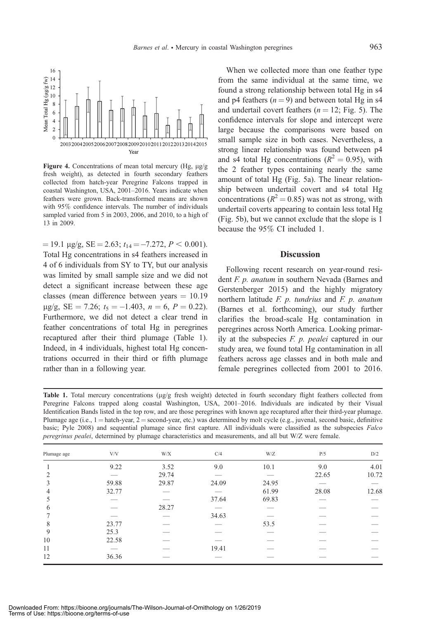

Figure 4. Concentrations of mean total mercury (Hg,  $\mu$ g/g fresh weight), as detected in fourth secondary feathers collected from hatch-year Peregrine Falcons trapped in coastal Washington, USA, 2001–2016. Years indicate when feathers were grown. Back-transformed means are shown with 95% confidence intervals. The number of individuals sampled varied from 5 in 2003, 2006, and 2010, to a high of 13 in 2009.

 $= 19.1 \text{ µg/g}, \text{SE} = 2.63; t_{14} = -7.272, P < 0.001.$ Total Hg concentrations in s4 feathers increased in 4 of 6 individuals from SY to TY, but our analysis was limited by small sample size and we did not detect a significant increase between these age classes (mean difference between years  $= 10.19$  $\mu$ g/g, SE = 7.26;  $t_5 = -1.403$ ,  $n = 6$ ,  $P = 0.22$ ). Furthermore, we did not detect a clear trend in feather concentrations of total Hg in peregrines recaptured after their third plumage (Table 1). Indeed, in 4 individuals, highest total Hg concentrations occurred in their third or fifth plumage rather than in a following year.

When we collected more than one feather type from the same individual at the same time, we found a strong relationship between total Hg in s4 and p4 feathers  $(n = 9)$  and between total Hg in s4 and undertail covert feathers  $(n = 12; Fig. 5)$ . The confidence intervals for slope and intercept were large because the comparisons were based on small sample size in both cases. Nevertheless, a strong linear relationship was found between p4 and s4 total Hg concentrations ( $R^2 = 0.95$ ), with the 2 feather types containing nearly the same amount of total Hg (Fig. 5a). The linear relationship between undertail covert and s4 total Hg concentrations ( $R^2 = 0.85$ ) was not as strong, with undertail coverts appearing to contain less total Hg (Fig. 5b), but we cannot exclude that the slope is 1 because the 95% CI included 1.

## **Discussion**

Following recent research on year-round resident F. p. anatum in southern Nevada (Barnes and Gerstenberger 2015) and the highly migratory northern latitude  $F.$   $p.$  tundrius and  $F.$   $p.$  anatum (Barnes et al. forthcoming), our study further clarifies the broad-scale Hg contamination in peregrines across North America. Looking primarily at the subspecies  $F.$   $p.$   $p$ ealei captured in our study area, we found total Hg contamination in all feathers across age classes and in both male and female peregrines collected from 2001 to 2016.

Table 1. Total mercury concentrations (µg/g fresh weight) detected in fourth secondary flight feathers collected from Peregrine Falcons trapped along coastal Washington, USA, 2001–2016. Individuals are indicated by their Visual Identification Bands listed in the top row, and are those peregrines with known age recaptured after their third-year plumage. Plumage age (i.e.,  $1 =$  hatch-year,  $2 =$  second-year, etc.) was determined by molt cycle (e.g., juvenal, second basic, definitive basic; Pyle 2008) and sequential plumage since first capture. All individuals were classified as the subspecies Falco peregrinus pealei, determined by plumage characteristics and measurements, and all but W/Z were female.

| Plumage age | V/V   | W/X   | C/4   | W/Z   | P/5   | D/2   |
|-------------|-------|-------|-------|-------|-------|-------|
|             | 9.22  | 3.52  | 9.0   | 10.1  | 9.0   | 4.01  |
| 2           |       | 29.74 |       |       | 22.65 | 10.72 |
| 3           | 59.88 | 29.87 | 24.09 | 24.95 |       |       |
| 4           | 32.77 |       |       | 61.99 | 28.08 | 12.68 |
| 5           |       |       | 37.64 | 69.83 |       |       |
| 6           |       | 28.27 |       |       |       |       |
|             |       |       | 34.63 |       |       |       |
| 8           | 23.77 |       | __    | 53.5  |       |       |
| 9           | 25.3  |       |       |       |       |       |
| 10          | 22.58 |       |       |       |       |       |
| 11          |       |       | 19.41 |       |       |       |
| 12          | 36.36 |       |       |       |       |       |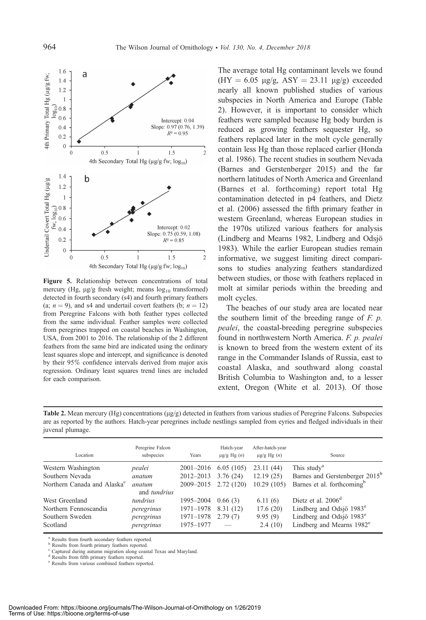

Figure 5. Relationship between concentrations of total mercury (Hg,  $\mu$ g/g fresh weight; means  $\log_{10}$  transformed) detected in fourth secondary (s4) and fourth primary feathers (a;  $n = 9$ ), and s4 and undertail covert feathers (b;  $n = 12$ ) from Peregrine Falcons with both feather types collected from the same individual. Feather samples were collected from peregrines trapped on coastal beaches in Washington, USA, from 2001 to 2016. The relationship of the 2 different feathers from the same bird are indicated using the ordinary least squares slope and intercept, and significance is denoted by their 95% confidence intervals derived from major axis regression. Ordinary least squares trend lines are included for each comparison.

The average total Hg contaminant levels we found  $(HY = 6.05 \text{ µg/g}, ASY = 23.11 \text{ µg/g})$  exceeded nearly all known published studies of various subspecies in North America and Europe (Table 2). However, it is important to consider which feathers were sampled because Hg body burden is reduced as growing feathers sequester Hg, so feathers replaced later in the molt cycle generally contain less Hg than those replaced earlier (Honda et al. 1986). The recent studies in southern Nevada (Barnes and Gerstenberger 2015) and the far northern latitudes of North America and Greenland (Barnes et al. forthcoming) report total Hg contamination detected in p4 feathers, and Dietz et al. (2006) assessed the fifth primary feather in western Greenland, whereas European studies in the 1970s utilized various feathers for analysis (Lindberg and Mearns 1982, Lindberg and Odsjö 1983). While the earlier European studies remain informative, we suggest limiting direct comparisons to studies analyzing feathers standardized between studies, or those with feathers replaced in molt at similar periods within the breeding and molt cycles.

The beaches of our study area are located near the southern limit of the breeding range of  $F$ .  $p$ . pealei, the coastal-breeding peregrine subspecies found in northwestern North America. F. p. pealei is known to breed from the western extent of its range in the Commander Islands of Russia, east to coastal Alaska, and southward along coastal British Columbia to Washington and, to a lesser extent, Oregon (White et al. 2013). Of those

Table 2. Mean mercury (Hg) concentrations  $(\mu g/g)$  detected in feathers from various studies of Peregrine Falcons. Subspecies are as reported by the authors. Hatch-year peregrines include nestlings sampled from eyries and fledged individuals in their juvenal plumage.

| Location                                | Peregrine Falcon<br>subspecies | Years                  | Hatch-year<br>$\mu$ g/g Hg $(n)$ | After-hatch-year<br>$\mu$ g/g Hg $(n)$ | Source                                                               |
|-----------------------------------------|--------------------------------|------------------------|----------------------------------|----------------------------------------|----------------------------------------------------------------------|
| Western Washington                      | pealei                         | $2001 - 2016$          | 6.05(105)                        | 23.11(44)                              | This study <sup>a</sup>                                              |
| Southern Nevada                         | anatum                         | $2012 - 2013$          | 3.76(24)                         | 12.19(25)                              | Barnes and Gerstenberger 2015 <sup>b</sup>                           |
| Northern Canada and Alaska <sup>c</sup> | anatum<br>and <i>tundrius</i>  | 2009-2015              | 2.72(120)                        | 10.29(105)                             | Barnes et al. forthcoming <sup>b</sup>                               |
| West Greenland                          | <i>tundrius</i>                | 1995–2004              | 0.66(3)                          | 6.11(6)                                | Dietz et al. 2006 <sup>d</sup>                                       |
| Northern Fennoscandia                   | peregrinus                     | 1971-1978              | 8.31 (12)                        | 17.6(20)                               | Lindberg and Odsjö 1983 <sup>e</sup>                                 |
| Southern Sweden<br>Scotland             | peregrinus<br>peregrinus       | 1971-1978<br>1975-1977 | 2.79(7)                          | 9.95(9)<br>2.4(10)                     | Lindberg and Odsjö $1983^e$<br>Lindberg and Mearns 1982 <sup>e</sup> |

<sup>a</sup> Results from fourth secondary feathers reported.

b Results from fourth primary feathers reported.

<sup>c</sup> Captured during autumn migration along coastal Texas and Maryland.

<sup>d</sup> Results from fifth primary feathers reported. <sup>e</sup> Results from various combined feathers reported.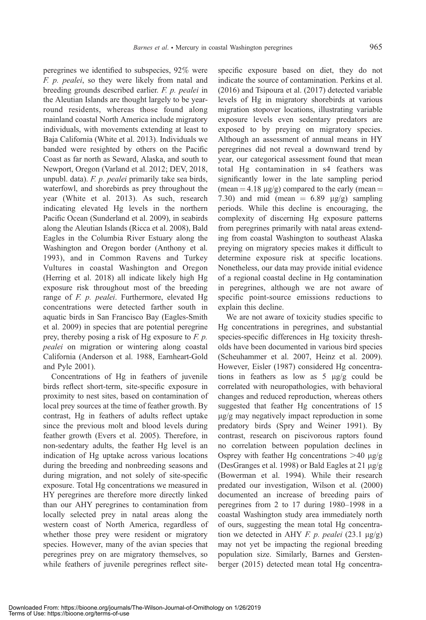peregrines we identified to subspecies, 92% were F. p. pealei, so they were likely from natal and breeding grounds described earlier. F. p. pealei in the Aleutian Islands are thought largely to be yearround residents, whereas those found along mainland coastal North America include migratory individuals, with movements extending at least to Baja California (White et al. 2013). Individuals we banded were resighted by others on the Pacific Coast as far north as Seward, Alaska, and south to Newport, Oregon (Varland et al. 2012; DEV, 2018, unpubl. data). F. p. pealei primarily take sea birds, waterfowl, and shorebirds as prey throughout the year (White et al. 2013). As such, research indicating elevated Hg levels in the northern Pacific Ocean (Sunderland et al. 2009), in seabirds along the Aleutian Islands (Ricca et al. 2008), Bald Eagles in the Columbia River Estuary along the Washington and Oregon border (Anthony et al. 1993), and in Common Ravens and Turkey Vultures in coastal Washington and Oregon (Herring et al. 2018) all indicate likely high Hg exposure risk throughout most of the breeding range of F. p. pealei. Furthermore, elevated Hg concentrations were detected farther south in aquatic birds in San Francisco Bay (Eagles-Smith et al. 2009) in species that are potential peregrine prey, thereby posing a risk of Hg exposure to  $F.$   $p.$ pealei on migration or wintering along coastal California (Anderson et al. 1988, Earnheart-Gold and Pyle 2001).

Concentrations of Hg in feathers of juvenile birds reflect short-term, site-specific exposure in proximity to nest sites, based on contamination of local prey sources at the time of feather growth. By contrast, Hg in feathers of adults reflect uptake since the previous molt and blood levels during feather growth (Evers et al. 2005). Therefore, in non-sedentary adults, the feather Hg level is an indication of Hg uptake across various locations during the breeding and nonbreeding seasons and during migration, and not solely of site-specific exposure. Total Hg concentrations we measured in HY peregrines are therefore more directly linked than our AHY peregrines to contamination from locally selected prey in natal areas along the western coast of North America, regardless of whether those prey were resident or migratory species. However, many of the avian species that peregrines prey on are migratory themselves, so while feathers of juvenile peregrines reflect site-

specific exposure based on diet, they do not indicate the source of contamination. Perkins et al. (2016) and Tsipoura et al. (2017) detected variable levels of Hg in migratory shorebirds at various migration stopover locations, illustrating variable exposure levels even sedentary predators are exposed to by preying on migratory species. Although an assessment of annual means in HY peregrines did not reveal a downward trend by year, our categorical assessment found that mean total Hg contamination in s4 feathers was significantly lower in the late sampling period (mean  $=$  4.18  $\mu$ g/g) compared to the early (mean  $=$ 7.30) and mid (mean  $= 6.89 \text{ }\mu\text{g/g}$ ) sampling periods. While this decline is encouraging, the complexity of discerning Hg exposure patterns from peregrines primarily with natal areas extending from coastal Washington to southeast Alaska preying on migratory species makes it difficult to determine exposure risk at specific locations. Nonetheless, our data may provide initial evidence of a regional coastal decline in Hg contamination in peregrines, although we are not aware of specific point-source emissions reductions to explain this decline.

We are not aware of toxicity studies specific to Hg concentrations in peregrines, and substantial species-specific differences in Hg toxicity thresholds have been documented in various bird species (Scheuhammer et al. 2007, Heinz et al. 2009). However, Eisler (1987) considered Hg concentrations in feathers as low as  $5 \mu g/g$  could be correlated with neuropathologies, with behavioral changes and reduced reproduction, whereas others suggested that feather Hg concentrations of 15  $\mu$ g/g may negatively impact reproduction in some predatory birds (Spry and Weiner 1991). By contrast, research on piscivorous raptors found no correlation between population declines in Osprey with feather Hg concentrations  $>40 \mu g/g$ (DesGranges et al. 1998) or Bald Eagles at 21  $\mu$ g/g (Bowerman et al. 1994). While their research predated our investigation, Wilson et al. (2000) documented an increase of breeding pairs of peregrines from 2 to 17 during 1980–1998 in a coastal Washington study area immediately north of ours, suggesting the mean total Hg concentration we detected in AHY F. p. pealei  $(23.1 \text{ µg/g})$ may not yet be impacting the regional breeding population size. Similarly, Barnes and Gerstenberger (2015) detected mean total Hg concentra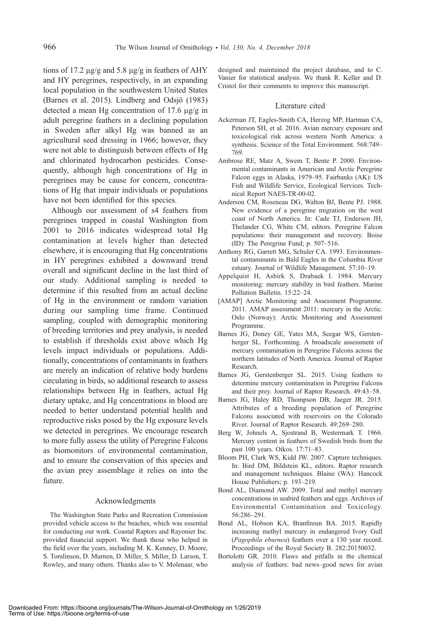tions of 17.2  $\mu$ g/g and 5.8  $\mu$ g/g in feathers of AHY and HY peregrines, respectively, in an expanding local population in the southwestern United States (Barnes et al. 2015). Lindberg and Odsjö  $(1983)$ detected a mean Hg concentration of 17.6  $\mu$ g/g in adult peregrine feathers in a declining population in Sweden after alkyl Hg was banned as an agricultural seed dressing in 1966; however, they were not able to distinguish between effects of Hg and chlorinated hydrocarbon pesticides. Consequently, although high concentrations of Hg in peregrines may be cause for concern, concentrations of Hg that impair individuals or populations have not been identified for this species.

Although our assessment of s4 feathers from peregrines trapped in coastal Washington from 2001 to 2016 indicates widespread total Hg contamination at levels higher than detected elsewhere, it is encouraging that Hg concentrations in HY peregrines exhibited a downward trend overall and significant decline in the last third of our study. Additional sampling is needed to determine if this resulted from an actual decline of Hg in the environment or random variation during our sampling time frame. Continued sampling, coupled with demographic monitoring of breeding territories and prey analysis, is needed to establish if thresholds exist above which Hg levels impact individuals or populations. Additionally, concentrations of contaminants in feathers are merely an indication of relative body burdens circulating in birds, so additional research to assess relationships between Hg in feathers, actual Hg dietary uptake, and Hg concentrations in blood are needed to better understand potential health and reproductive risks posed by the Hg exposure levels we detected in peregrines. We encourage research to more fully assess the utility of Peregrine Falcons as biomonitors of environmental contamination, and to ensure the conservation of this species and the avian prey assemblage it relies on into the future.

#### Acknowledgments

The Washington State Parks and Recreation Commission provided vehicle access to the beaches, which was essential for conducting our work. Coastal Raptors and Rayonier Inc. provided financial support. We thank those who helped in the field over the years, including M. K. Kenney, D. Moore, S. Tomlinson, D. Murnen, D. Miller, S. Miller, D. Larson, T. Rowley, and many others. Thanks also to V. Molenaar, who designed and maintained the project database, and to C. Vanier for statistical analysis. We thank R. Keller and D. Cristol for their comments to improve this manuscript.

#### Literature cited

- Ackerman JT, Eagles-Smith CA, Herzog MP, Hartman CA, Peterson SH, et al. 2016. Avian mercury exposure and toxicological risk across western North America: a synthesis. Science of the Total Environment. 568:749– 769.
- Ambrose RE, Matz A, Swem T, Bente P. 2000. Environmental contaminants in American and Arctic Peregrine Falcon eggs in Alaska, 1979–95. Fairbanks (AK): US Fish and Wildlife Service, Ecological Services. Technical Report NAES-TR-00-02.
- Anderson CM, Roseneau DG, Walton BJ, Bente PJ. 1988. New evidence of a peregrine migration on the west coast of North America. In: Cade TJ, Enderson JH, Thelander CG, White CM, editors. Peregrine Falcon populations: their management and recovery. Boise (ID): The Peregrine Fund; p. 507–516.
- Anthony RG, Garrett MG, Schuler CA. 1993. Environmental contaminants in Bald Eagles in the Columbia River estuary. Journal of Wildlife Management. 57:10–19.
- Appelquist H, Asbirk S, Drabaek I. 1984. Mercury monitoring: mercury stability in bird feathers. Marine Pollution Bulletin. 15:22–24.
- [AMAP] Arctic Monitoring and Assessment Programme. 2011. AMAP assessment 2011: mercury in the Arctic. Oslo (Norway): Arctic Monitoring and Assessment Programme.
- Barnes JG, Doney GE, Yates MA, Seegar WS, Gerstenberger SL. Forthcoming. A broadscale assessment of mercury contamination in Peregrine Falcons across the northern latitudes of North America. Journal of Raptor Research.
- Barnes JG, Gerstenberger SL. 2015. Using feathers to determine mercury contamination in Peregrine Falcons and their prey. Journal of Raptor Research. 49:43–58.
- Barnes JG, Haley RD, Thompson DB, Jaeger JR. 2015. Attributes of a breeding population of Peregrine Falcons associated with reservoirs on the Colorado River. Journal of Raptor Research. 49:269–280.
- Berg W, Johnels A, Sjostrand B, Westermark T. 1966. Mercury content in feathers of Swedish birds from the past 100 years. Oikos. 17:71–83.
- Bloom PH, Clark WS, Kidd JW. 2007. Capture techniques. In: Bird DM, Bildstein KL, editors. Raptor research and management techniques. Blaine (WA): Hancock House Publishers; p. 193–219.
- Bond AL, Diamond AW. 2009. Total and methyl mercury concentrations in seabird feathers and eggs. Archives of Environmental Contamination and Toxicology. 56:286–291.
- Bond AL, Hobson KA, Branfireun BA. 2015. Rapidly increasing methyl mercury in endangered Ivory Gull (Pagophila eburnea) feathers over a 130 year record. Proceedings of the Royal Society B. 282:20150032.
- Bortolotti GR. 2010. Flaws and pitfalls in the chemical analysis of feathers: bad news–good news for avian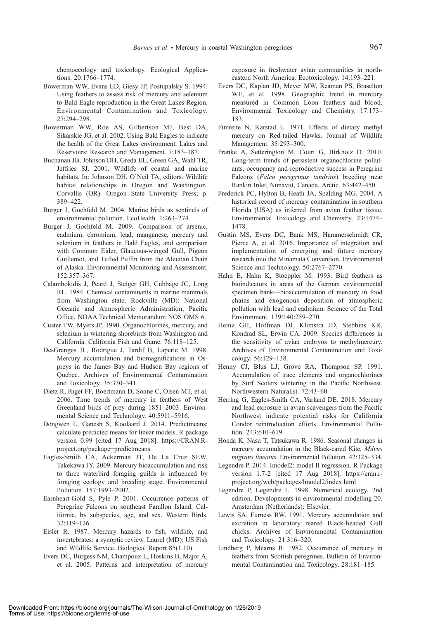chemoecology and toxicology. Ecological Applications. 20:1766–1774.

- Bowerman WW, Evans ED, Giesy JP, Postupalsky S. 1994. Using feathers to assess risk of mercury and selenium to Bald Eagle reproduction in the Great Lakes Region. Environmental Contamination and Toxicology. 27:294–298.
- Bowerman WW, Roe AS, Gilbertson MJ, Best DA, Sikarskie JG, et al. 2002. Using Bald Eagles to indicate the health of the Great Lakes environment. Lakes and Reservoirs: Research and Management. 7:183–187.
- Buchanan JB, Johnson DH, Greda EL, Green GA, Wahl TR, Jeffries SJ. 2001. Wildlife of coastal and marine habitats. In: Johnson DH, O'Neil TA, editors. Wildlife habitat relationships in Oregon and Washington. Corvallis (OR): Oregon State University Press; p. 389–422.
- Burger J, Gochfeld M. 2004. Marine birds as sentinels of environmental pollution. EcoHealth. 1:263–274.
- Burger J, Gochfeld M. 2009. Comparison of arsenic, cadmium, chromium, lead, manganese, mercury and selenium in feathers in Bald Eagles, and comparison with Common Eider, Glaucous-winged Gull, Pigeon Guillemot, and Tufted Puffin from the Aleutian Chain of Alaska. Environmental Monitoring and Assessment. 152:357–367.
- Calambokidis J, Peard J, Steiger GH, Cubbage JC, Long RL. 1984. Chemical contaminants in marine mammals from Washington state. Rockville (MD): National Oceanic and Atmospheric Administration, Pacific Office. NOAA Technical Memorandum NOS OMS 6.
- Custer TW, Myers JP. 1990. Organochlorines, mercury, and selenium in wintering shorebirds from Washington and California. California Fish and Game. 76:118–125.
- DesGranges JL, Rodrigue J, Tardif B, Laperle M. 1998. Mercury accumulation and biomagnifications in Ospreys in the James Bay and Hudson Bay regions of Quebec. Archives of Environmental Contamination and Toxicology. 35:330–341.
- Dietz R, Riget FF, Boertmann D, Sonne C, Olsen MT, et al. 2006. Time trends of mercury in feathers of West Greenland birds of prey during 1851–2003. Environmental Science and Technology. 40:5911–5916.
- Dongwen L, Ganesh S, Koolaard J. 2014. Predictmeans: calculate predicted means for linear models. R package version 0.99 [cited 17 Aug 2018]. https://CRAN.Rproject.org/package=predictmeans
- Eagles-Smith CA, Ackerman JT, De La Cruz SEW, Takekawa JY. 2009. Mercury bioaccumulation and risk to three waterbird foraging guilds is influenced by foraging ecology and breeding stage. Environmental Pollution. 157:1993–2002.
- Earnheart-Gold S, Pyle P. 2001. Occurrence patterns of Peregrine Falcons on southeast Farallon Island, California, by subspecies, age, and sex. Western Birds. 32:119–126.
- Eisler R. 1987. Mercury hazards to fish, wildlife, and invertebrates: a synoptic review. Laurel (MD): US Fish and Wildlife Service. Biological Report 85(1.10).
- Evers DC, Burgess NM, Champoux L, Hoskins B, Major A, et al. 2005. Patterns and interpretation of mercury

exposure in freshwater avian communities in northeastern North America. Ecotoxicology. 14:193–221.

- Evers DC, Kaplan JD, Meyer MW, Reaman PS, Braselton WE, et al. 1998. Geographic trend in mercury measured in Common Loon feathers and blood. Environmental Toxicology and Chemistry. 17:173– 183.
- Fimreite N, Karstad L. 1971. Effects of dietary methyl mercury on Red-tailed Hawks. Journal of Wildlife Management. 35:293–300.
- Franke A, Setterington M, Court G, Birkholz D. 2010. Long-term trends of persistent organochlorine pollutants, occupancy and reproductive success in Peregrine Falcons (Falco peregrinus tundrius) breeding near Rankin Inlet, Nunavut, Canada. Arctic. 63:442–450.
- Frederick PC, Hylton B, Heath JA, Spalding MG. 2004. A historical record of mercury contamination in southern Florida (USA) as inferred from avian feather tissue. Environmental Toxicology and Chemistry. 23:1474– 1478.
- Gustin MS, Evers DC, Bank MS, Hammerschmidt CR, Pierce A, et al. 2016. Importance of integration and implementation of emerging and future mercury research into the Minamata Convention. Environmental Science and Technology. 50:2767–2770.
- Hahn E, Hahn K, Stoeppler M. 1993. Bird feathers as bioindicators in areas of the German environmental specimen bank—bioaccumulation of mercury in food chains and exogenous deposition of atmospheric pollution with lead and cadmium. Science of the Total Environment. 139/140:259–270.
- Heinz GH, Hoffman DJ, Klimstra JD, Stebbins KR, Kondrad SL, Erwin CA. 2009. Species differences in the sensitivity of avian embryos to methylmercury. Archives of Environmental Contamination and Toxicology. 56:129–138.
- Henny CJ, Blus LJ, Grove RA, Thompson SP. 1991. Accumulation of trace elements and organochlorines by Surf Scoters wintering in the Pacific Northwest. Northwestern Naturalist. 72:43–60.
- Herring G, Eagles-Smith CA, Varland DE. 2018. Mercury and lead exposure in avian scavengers from the Pacific Northwest indicate potential risks for California Condor reintroduction efforts. Environmental Pollution. 243:610–619.
- Honda K, Nasu T, Tatsukawa R. 1986. Seasonal changes in mercury accumulation in the Black-eared Kite, Milvus migrans lineatus. Environmental Pollution. 42:325–334.
- Legendre P. 2014. Imodel2: model II regression. R Package version 1.7-2 [cited 17 Aug 2018]. https://cran.rproject.org/web/packages/lmodel2/index.html
- Legendre P, Legendre L. 1998. Numerical ecology. 2nd edition. Developments in environmental modelling 20. Amsterdam (Netherlands): Elsevier.
- Lewis SA, Furness RW. 1991. Mercury accumulation and excretion in laboratory reared Black-headed Gull chicks. Archives of Environmental Contamination and Toxicology. 21:316–320.
- Lindberg P, Mearns R. 1982. Occurrence of mercury in feathers from Scottish peregrines. Bulletin of Environmental Contamination and Toxicology. 28:181–185.